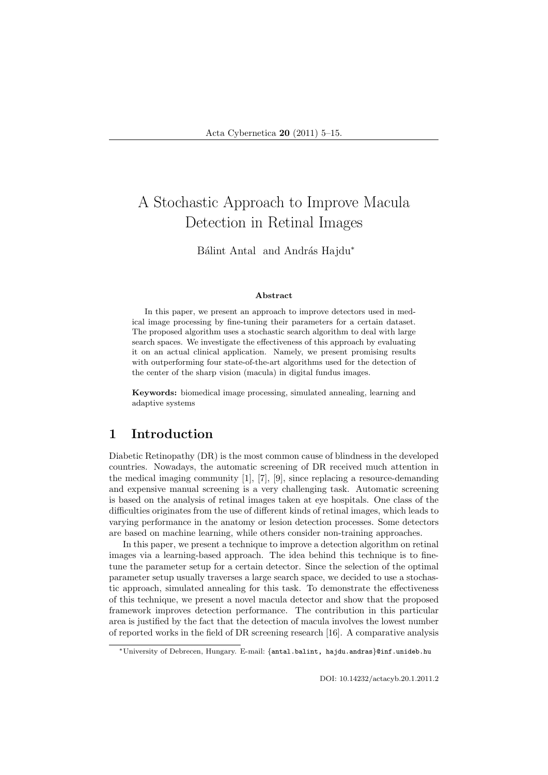# A Stochastic Approach to Improve Macula Detection in Retinal Images

Bálint Antal and András Hajdu<sup>\*</sup>

#### Abstract

In this paper, we present an approach to improve detectors used in medical image processing by fine-tuning their parameters for a certain dataset. The proposed algorithm uses a stochastic search algorithm to deal with large search spaces. We investigate the effectiveness of this approach by evaluating it on an actual clinical application. Namely, we present promising results with outperforming four state-of-the-art algorithms used for the detection of the center of the sharp vision (macula) in digital fundus images.

Keywords: biomedical image processing, simulated annealing, learning and adaptive systems

## 1 Introduction

Diabetic Retinopathy (DR) is the most common cause of blindness in the developed countries. Nowadays, the automatic screening of DR received much attention in the medical imaging community [1], [7], [9], since replacing a resource-demanding and expensive manual screening is a very challenging task. Automatic screening is based on the analysis of retinal images taken at eye hospitals. One class of the difficulties originates from the use of different kinds of retinal images, which leads to varying performance in the anatomy or lesion detection processes. Some detectors are based on machine learning, while others consider non-training approaches.

In this paper, we present a technique to improve a detection algorithm on retinal images via a learning-based approach. The idea behind this technique is to finetune the parameter setup for a certain detector. Since the selection of the optimal parameter setup usually traverses a large search space, we decided to use a stochastic approach, simulated annealing for this task. To demonstrate the effectiveness of this technique, we present a novel macula detector and show that the proposed framework improves detection performance. The contribution in this particular area is justified by the fact that the detection of macula involves the lowest number of reported works in the field of DR screening research [16]. A comparative analysis

<sup>∗</sup>University of Debrecen, Hungary. E-mail: {antal.balint, hajdu.andras}@inf.unideb.hu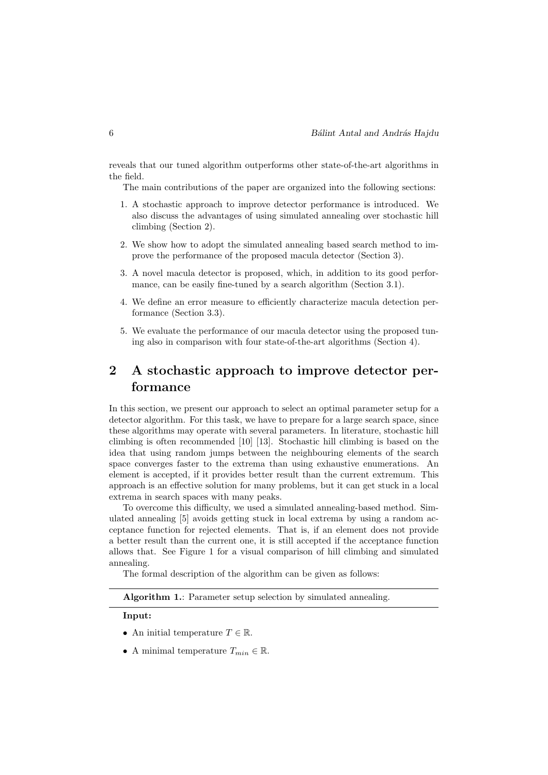reveals that our tuned algorithm outperforms other state-of-the-art algorithms in the field.

The main contributions of the paper are organized into the following sections:

- 1. A stochastic approach to improve detector performance is introduced. We also discuss the advantages of using simulated annealing over stochastic hill climbing (Section 2).
- 2. We show how to adopt the simulated annealing based search method to improve the performance of the proposed macula detector (Section 3).
- 3. A novel macula detector is proposed, which, in addition to its good performance, can be easily fine-tuned by a search algorithm (Section 3.1).
- 4. We define an error measure to efficiently characterize macula detection performance (Section 3.3).
- 5. We evaluate the performance of our macula detector using the proposed tuning also in comparison with four state-of-the-art algorithms (Section 4).

# 2 A stochastic approach to improve detector performance

In this section, we present our approach to select an optimal parameter setup for a detector algorithm. For this task, we have to prepare for a large search space, since these algorithms may operate with several parameters. In literature, stochastic hill climbing is often recommended [10] [13]. Stochastic hill climbing is based on the idea that using random jumps between the neighbouring elements of the search space converges faster to the extrema than using exhaustive enumerations. An element is accepted, if it provides better result than the current extremum. This approach is an effective solution for many problems, but it can get stuck in a local extrema in search spaces with many peaks.

To overcome this difficulty, we used a simulated annealing-based method. Simulated annealing [5] avoids getting stuck in local extrema by using a random acceptance function for rejected elements. That is, if an element does not provide a better result than the current one, it is still accepted if the acceptance function allows that. See Figure 1 for a visual comparison of hill climbing and simulated annealing.

The formal description of the algorithm can be given as follows:

Algorithm 1.: Parameter setup selection by simulated annealing.

Input:

- An initial temperature  $T \in \mathbb{R}$ .
- A minimal temperature  $T_{min} \in \mathbb{R}$ .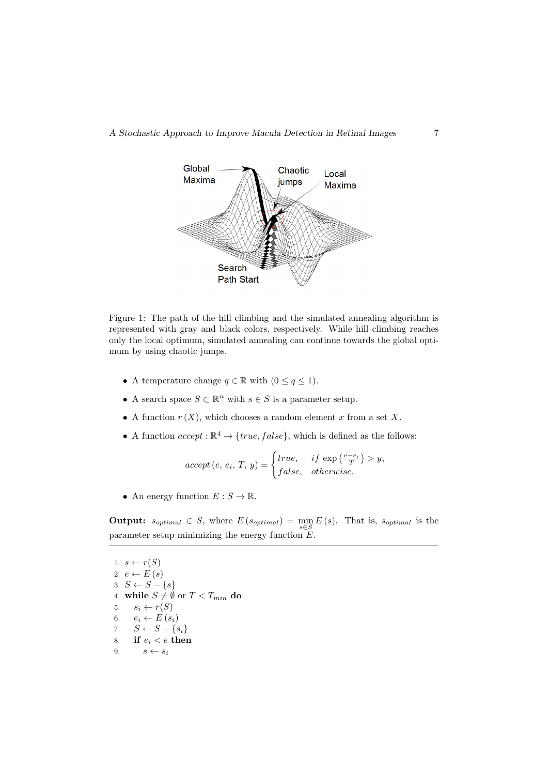

Figure 1: The path of the hill climbing and the simulated annealing algorithm is represented with gray and black colors, respectively. While hill climbing reaches only the local optimum, simulated annealing can continue towards the global optimum by using chaotic jumps.

- A temperature change  $q \in \mathbb{R}$  with  $(0 \leq q \leq 1)$ .
- A search space  $S \subset \mathbb{R}^n$  with  $s \in S$  is a parameter setup.
- A function  $r(X)$ , which chooses a random element x from a set X.
- A function  $accept : \mathbb{R}^4 \to \{true, false\}$ , which is defined as the follows:

$$
accept(e, e_i, T, y) = \begin{cases} true, & if \exp\left(\frac{e - e_i}{T}\right) > y, \\ false, & otherwise. \end{cases}
$$

• An energy function  $E: S \to \mathbb{R}$ .

**Output:**  $s_{optimal} \in S$ , where  $E(s_{optimal}) = \min_{s \in S} E(s)$ . That is,  $s_{optimal}$  is the parameter setup minimizing the energy function  $E$ .

1.  $s \leftarrow r(S)$ 2.  $e \leftarrow E(s)$ 3.  $S \leftarrow S - \{s\}$ 4. while  $S \neq \emptyset$  or  $T < T_{min}$  do 5.  $s_i \leftarrow r(S)$ 6.  $e_i \leftarrow E(s_i)$ <br>7.  $S \leftarrow S - \{s_i\}$  $S \leftarrow S - \{s_i\}$ 8. if  $e_i < e$  then 9.  $s \leftarrow s_i$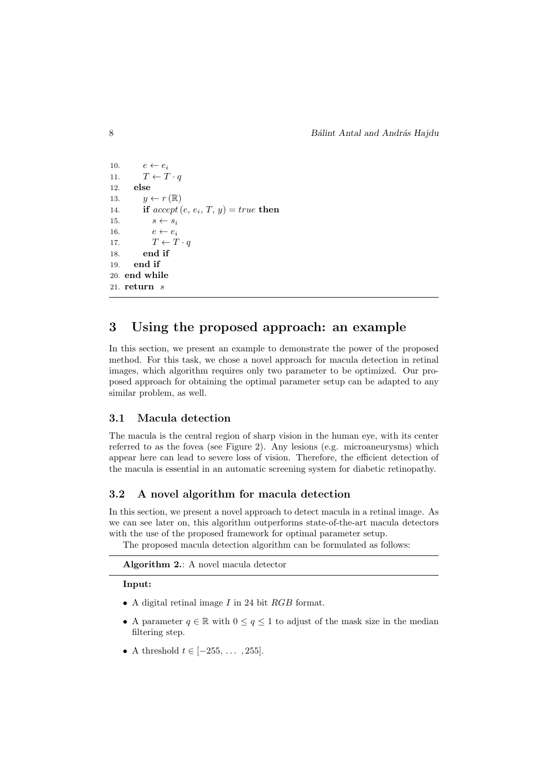```
10. e \leftarrow e_i11. T \leftarrow T \cdot q12. else
13. y \leftarrow r(\mathbb{R})14. if accept(e, e_i, T, y) = true then
15. s \leftarrow s_i16. e \leftarrow e_i17. T \leftarrow T \cdot q18. end if
19. end if
20. end while
21. return s
```
# 3 Using the proposed approach: an example

In this section, we present an example to demonstrate the power of the proposed method. For this task, we chose a novel approach for macula detection in retinal images, which algorithm requires only two parameter to be optimized. Our proposed approach for obtaining the optimal parameter setup can be adapted to any similar problem, as well.

#### 3.1 Macula detection

The macula is the central region of sharp vision in the human eye, with its center referred to as the fovea (see Figure 2). Any lesions (e.g. microaneurysms) which appear here can lead to severe loss of vision. Therefore, the efficient detection of the macula is essential in an automatic screening system for diabetic retinopathy.

#### 3.2 A novel algorithm for macula detection

In this section, we present a novel approach to detect macula in a retinal image. As we can see later on, this algorithm outperforms state-of-the-art macula detectors with the use of the proposed framework for optimal parameter setup.

The proposed macula detection algorithm can be formulated as follows:

Algorithm 2.: A novel macula detector

#### Input:

- A digital retinal image I in 24 bit RGB format.
- A parameter  $q \in \mathbb{R}$  with  $0 \leq q \leq 1$  to adjust of the mask size in the median filtering step.
- A threshold  $t \in [-255, \ldots, 255]$ .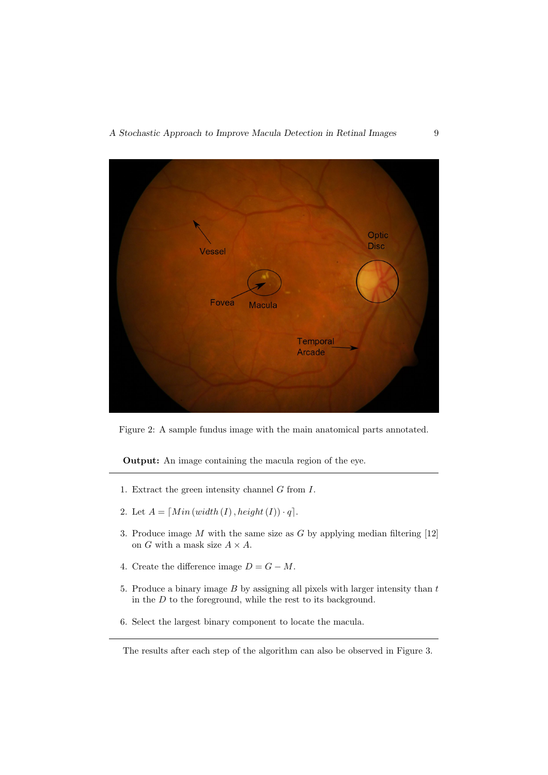

Figure 2: A sample fundus image with the main anatomical parts annotated.

Output: An image containing the macula region of the eye.

- 1. Extract the green intensity channel  $G$  from  $I$ .
- 2. Let  $A = [Min (width (I), height (I)) \cdot q].$
- 3. Produce image  $M$  with the same size as  $G$  by applying median filtering [12] on G with a mask size  $A \times A$ .
- 4. Create the difference image  $D = G M$ .
- 5. Produce a binary image  $B$  by assigning all pixels with larger intensity than  $t$ in the  $D$  to the foreground, while the rest to its background.
- 6. Select the largest binary component to locate the macula.

The results after each step of the algorithm can also be observed in Figure 3.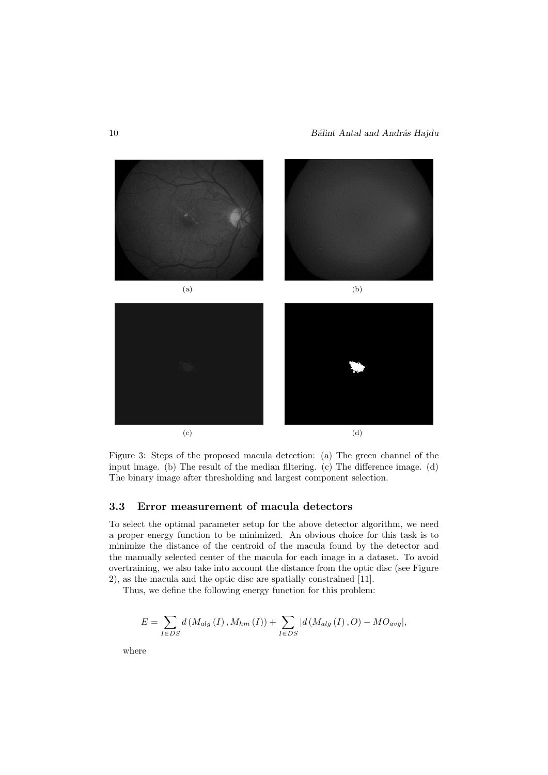

Figure 3: Steps of the proposed macula detection: (a) The green channel of the input image. (b) The result of the median filtering. (c) The difference image. (d) The binary image after thresholding and largest component selection.

#### 3.3 Error measurement of macula detectors

To select the optimal parameter setup for the above detector algorithm, we need a proper energy function to be minimized. An obvious choice for this task is to minimize the distance of the centroid of the macula found by the detector and the manually selected center of the macula for each image in a dataset. To avoid overtraining, we also take into account the distance from the optic disc (see Figure 2), as the macula and the optic disc are spatially constrained [11].

Thus, we define the following energy function for this problem:

$$
E = \sum_{I \in DS} d(M_{alg}(I), M_{hm}(I)) + \sum_{I \in DS} |d(M_{alg}(I), O) - MO_{avg}|,
$$

where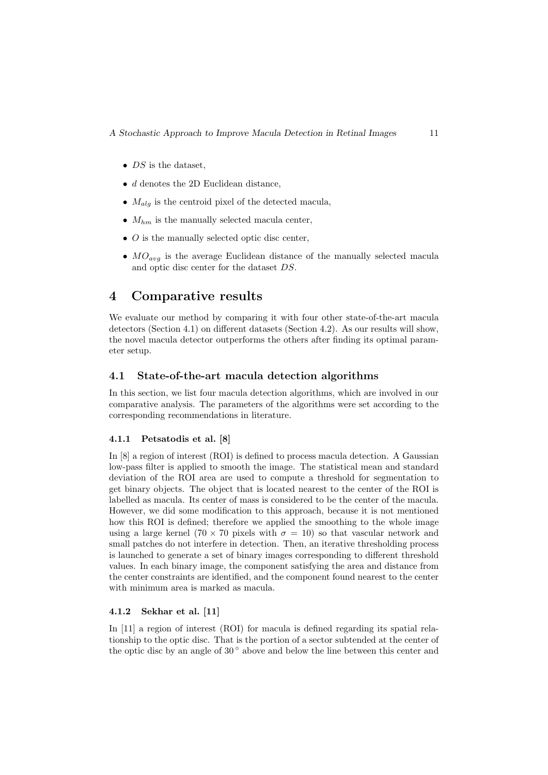- $DS$  is the dataset,
- d denotes the 2D Euclidean distance.
- $M_{alg}$  is the centroid pixel of the detected macula,
- $M_{hm}$  is the manually selected macula center,
- $\bullet$  O is the manually selected optic disc center.
- $MO_{avg}$  is the average Euclidean distance of the manually selected macula and optic disc center for the dataset DS.

### 4 Comparative results

We evaluate our method by comparing it with four other state-of-the-art macula detectors (Section 4.1) on different datasets (Section 4.2). As our results will show, the novel macula detector outperforms the others after finding its optimal parameter setup.

#### 4.1 State-of-the-art macula detection algorithms

In this section, we list four macula detection algorithms, which are involved in our comparative analysis. The parameters of the algorithms were set according to the corresponding recommendations in literature.

#### 4.1.1 Petsatodis et al. [8]

In [8] a region of interest (ROI) is defined to process macula detection. A Gaussian low-pass filter is applied to smooth the image. The statistical mean and standard deviation of the ROI area are used to compute a threshold for segmentation to get binary objects. The object that is located nearest to the center of the ROI is labelled as macula. Its center of mass is considered to be the center of the macula. However, we did some modification to this approach, because it is not mentioned how this ROI is defined; therefore we applied the smoothing to the whole image using a large kernel (70 × 70 pixels with  $\sigma = 10$ ) so that vascular network and small patches do not interfere in detection. Then, an iterative thresholding process is launched to generate a set of binary images corresponding to different threshold values. In each binary image, the component satisfying the area and distance from the center constraints are identified, and the component found nearest to the center with minimum area is marked as macula.

#### 4.1.2 Sekhar et al. [11]

In [11] a region of interest (ROI) for macula is defined regarding its spatial relationship to the optic disc. That is the portion of a sector subtended at the center of the optic disc by an angle of  $30^{\circ}$  above and below the line between this center and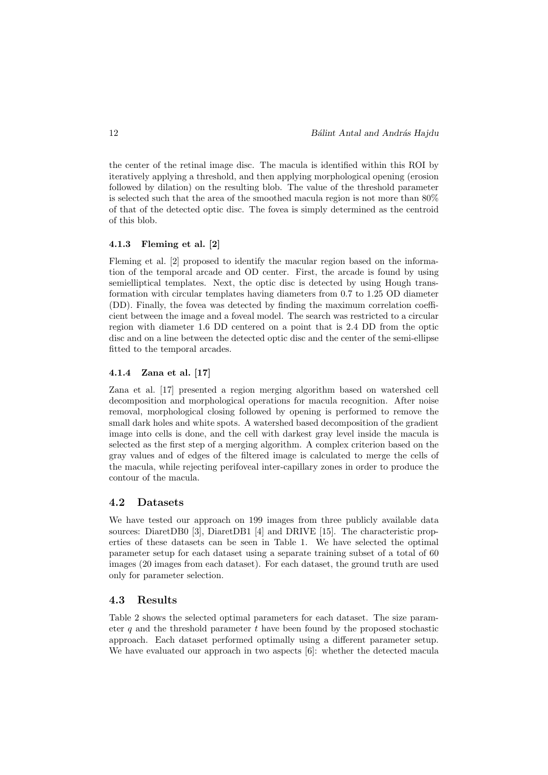the center of the retinal image disc. The macula is identified within this ROI by iteratively applying a threshold, and then applying morphological opening (erosion followed by dilation) on the resulting blob. The value of the threshold parameter is selected such that the area of the smoothed macula region is not more than 80% of that of the detected optic disc. The fovea is simply determined as the centroid of this blob.

#### 4.1.3 Fleming et al. [2]

Fleming et al. [2] proposed to identify the macular region based on the information of the temporal arcade and OD center. First, the arcade is found by using semielliptical templates. Next, the optic disc is detected by using Hough transformation with circular templates having diameters from 0.7 to 1.25 OD diameter (DD). Finally, the fovea was detected by finding the maximum correlation coefficient between the image and a foveal model. The search was restricted to a circular region with diameter 1.6 DD centered on a point that is 2.4 DD from the optic disc and on a line between the detected optic disc and the center of the semi-ellipse fitted to the temporal arcades.

#### 4.1.4 Zana et al. [17]

Zana et al. [17] presented a region merging algorithm based on watershed cell decomposition and morphological operations for macula recognition. After noise removal, morphological closing followed by opening is performed to remove the small dark holes and white spots. A watershed based decomposition of the gradient image into cells is done, and the cell with darkest gray level inside the macula is selected as the first step of a merging algorithm. A complex criterion based on the gray values and of edges of the filtered image is calculated to merge the cells of the macula, while rejecting perifoveal inter-capillary zones in order to produce the contour of the macula.

#### 4.2 Datasets

We have tested our approach on 199 images from three publicly available data sources: DiaretDB0 [3], DiaretDB1 [4] and DRIVE [15]. The characteristic properties of these datasets can be seen in Table 1. We have selected the optimal parameter setup for each dataset using a separate training subset of a total of 60 images (20 images from each dataset). For each dataset, the ground truth are used only for parameter selection.

#### 4.3 Results

Table 2 shows the selected optimal parameters for each dataset. The size parameter q and the threshold parameter  $t$  have been found by the proposed stochastic approach. Each dataset performed optimally using a different parameter setup. We have evaluated our approach in two aspects [6]: whether the detected macula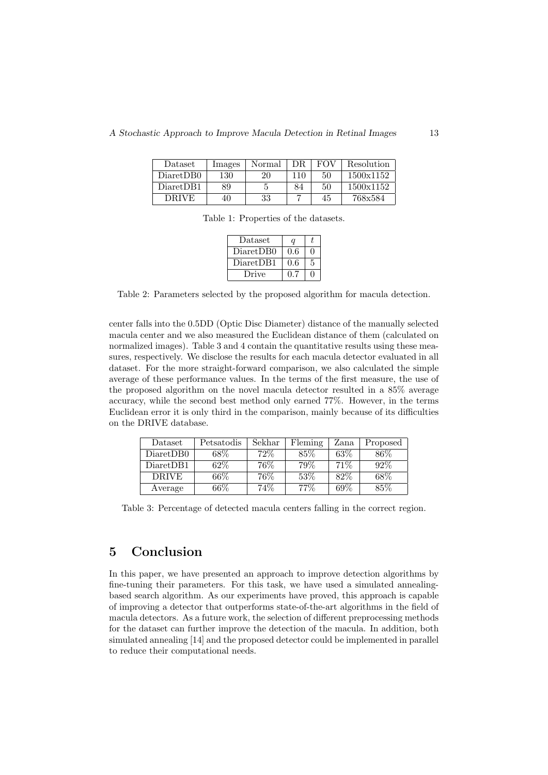| <b>Dataset</b> | Images | Normal | DR. | <b>FOV</b> | Resolution |
|----------------|--------|--------|-----|------------|------------|
| Diaret DB0     | 130    | 20     | 110 | 50         | 1500x1152  |
| DiaretDB1      | 89     |        | 84  | 50         | 1500x1152  |
| DRIVE          | 40     | 33     |     | 45         | 768x584    |

Table 1: Properties of the datasets.

| Dataset   | a   |   |
|-----------|-----|---|
| DiaretDB0 | 0.6 |   |
| DiaretDB1 | 0.6 | 5 |
| Drive     | በ 7 |   |

Table 2: Parameters selected by the proposed algorithm for macula detection.

center falls into the 0.5DD (Optic Disc Diameter) distance of the manually selected macula center and we also measured the Euclidean distance of them (calculated on normalized images). Table 3 and 4 contain the quantitative results using these measures, respectively. We disclose the results for each macula detector evaluated in all dataset. For the more straight-forward comparison, we also calculated the simple average of these performance values. In the terms of the first measure, the use of the proposed algorithm on the novel macula detector resulted in a 85% average accuracy, while the second best method only earned 77%. However, in the terms Euclidean error it is only third in the comparison, mainly because of its difficulties on the DRIVE database.

| Dataset      | Petsatodis | Sekhar | Fleming | Zana | Proposed |
|--------------|------------|--------|---------|------|----------|
| DiaretDB0    | 68\%       | 72%    | 85%     | 63%  | 86\%     |
| DiaretDB1    | $62\%$     | 76%    | 79%     | 71\% | 92%      |
| <b>DRIVE</b> | $66\%$     | 76\%   | 53%     | 82\% | 68%      |
| Average      | $66\%$     | 74%    | $77\%$  | 69%  | 85%      |

Table 3: Percentage of detected macula centers falling in the correct region.

### 5 Conclusion

In this paper, we have presented an approach to improve detection algorithms by fine-tuning their parameters. For this task, we have used a simulated annealingbased search algorithm. As our experiments have proved, this approach is capable of improving a detector that outperforms state-of-the-art algorithms in the field of macula detectors. As a future work, the selection of different preprocessing methods for the dataset can further improve the detection of the macula. In addition, both simulated annealing [14] and the proposed detector could be implemented in parallel to reduce their computational needs.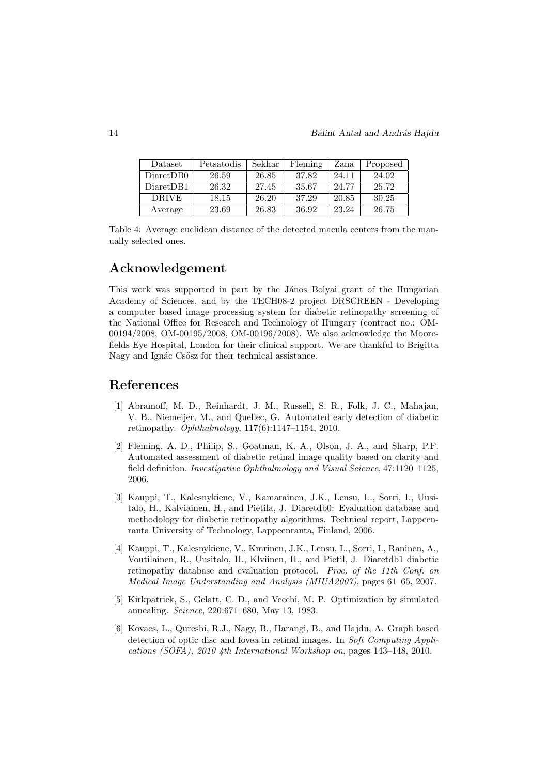| Dataset      | Petsatodis | Sekhar | Fleming | Zana  | Proposed |
|--------------|------------|--------|---------|-------|----------|
| Diaret DB0   | 26.59      | 26.85  | 37.82   | 24.11 | 24.02    |
| DiaretDB1    | 26.32      | 27.45  | 35.67   | 24.77 | 25.72    |
| <b>DRIVE</b> | 18.15      | 26.20  | 37.29   | 20.85 | 30.25    |
| Average      | 23.69      | 26.83  | 36.92   | 23.24 | 26.75    |

Table 4: Average euclidean distance of the detected macula centers from the manually selected ones.

## Acknowledgement

This work was supported in part by the János Bolyai grant of the Hungarian Academy of Sciences, and by the TECH08-2 project DRSCREEN - Developing a computer based image processing system for diabetic retinopathy screening of the National Office for Research and Technology of Hungary (contract no.: OM-00194/2008, OM-00195/2008, OM-00196/2008). We also acknowledge the Moorefields Eye Hospital, London for their clinical support. We are thankful to Brigitta Nagy and Ignác Csősz for their technical assistance.

### References

- [1] Abramoff, M. D., Reinhardt, J. M., Russell, S. R., Folk, J. C., Mahajan, V. B., Niemeijer, M., and Quellec, G. Automated early detection of diabetic retinopathy. Ophthalmology, 117(6):1147–1154, 2010.
- [2] Fleming, A. D., Philip, S., Goatman, K. A., Olson, J. A., and Sharp, P.F. Automated assessment of diabetic retinal image quality based on clarity and field definition. Investigative Ophthalmology and Visual Science, 47:1120–1125, 2006.
- [3] Kauppi, T., Kalesnykiene, V., Kamarainen, J.K., Lensu, L., Sorri, I., Uusitalo, H., Kalviainen, H., and Pietila, J. Diaretdb0: Evaluation database and methodology for diabetic retinopathy algorithms. Technical report, Lappeenranta University of Technology, Lappeenranta, Finland, 2006.
- [4] Kauppi, T., Kalesnykiene, V., Kmrinen, J.K., Lensu, L., Sorri, I., Raninen, A., Voutilainen, R., Uusitalo, H., Klviinen, H., and Pietil, J. Diaretdb1 diabetic retinopathy database and evaluation protocol. Proc. of the 11th Conf. on Medical Image Understanding and Analysis (MIUA2007), pages 61–65, 2007.
- [5] Kirkpatrick, S., Gelatt, C. D., and Vecchi, M. P. Optimization by simulated annealing. Science, 220:671–680, May 13, 1983.
- [6] Kovacs, L., Qureshi, R.J., Nagy, B., Harangi, B., and Hajdu, A. Graph based detection of optic disc and fovea in retinal images. In Soft Computing Applications (SOFA), 2010 4th International Workshop on, pages 143–148, 2010.